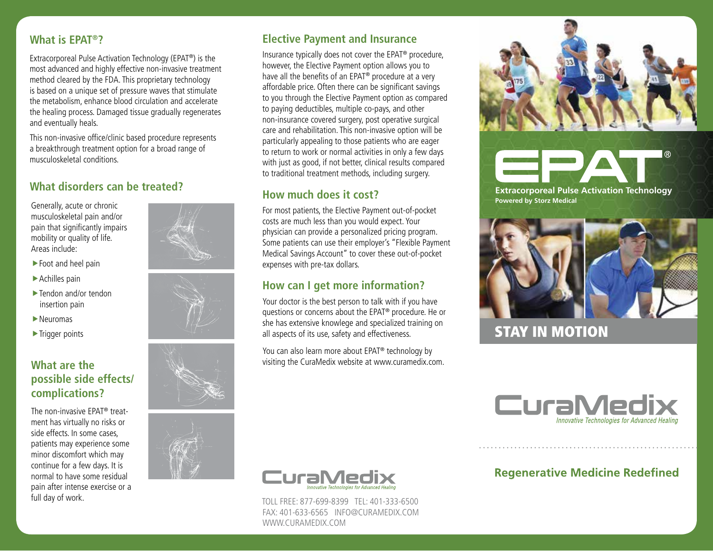# **What is EPAT®?**

Extracorporeal Pulse Activation Technology (EPAT®) is the most advanced and highly effective non-invasive treatment method cleared by the FDA. This proprietary technology is based on a unique set of pressure waves that stimulate the metabolism, enhance blood circulation and accelerate the healing process. Damaged tissue gradually regenerates and eventually heals.

This non-invasive office/clinic based procedure represents a breakthrough treatment option for a broad range of musculoskeletal conditions.

# What disorders can be treated?<br> **Extracorporeal Pulse Activation Technology**

musculoskeletal pain and/or pain that significantly impairs mobility or quality of life. Areas include:

- $\blacktriangleright$  Foot and heel pain
- $\blacktriangleright$  Achilles pain
- $\blacktriangleright$  Tendon and/or tendon insertion pain
- $\blacktriangleright$  Neuromas
- $\blacktriangleright$  Trigger points

# **What are the possible side effects/ complications?**

The non-invasive EPAT® treatment has virtually no risks or side effects. In some cases, patients may experience some minor discomfort which may continue for a few days. It is normal to have some residual pain after intense exercise or a full day of work.







# **Elective Payment and Insurance**

Insurance typically does not cover the EPAT® procedure, however, the Elective Payment option allows you to have all the benefits of an EPAT® procedure at a very affordable price. Often there can be significant savings to you through the Elective Payment option as compared to paying deductibles, multiple co-pays, and other non-insurance covered surgery, post operative surgical care and rehabilitation. This non-invasive option will be particularly appealing to those patients who are eager to return to work or normal activities in only a few days with just as good, if not better, clinical results compared to traditional treatment methods, including surgery.

# **How much does it cost?**

For the energy acute or chronic<br> **For most patients, the Elective Payment out-of-pocket Payment out-of-pocket** costs are much less than you would expect. Your physician can provide a personalized pricing program. Some patients can use their employer's "Flexible Payment Medical Savings Account" to cover these out-of-pocket expenses with pre-tax dollars.

# **How can I get more information?**

Your doctor is the best person to talk with if you have questions or concerns about the EPAT® procedure. He or she has extensive knowlege and specialized training on all aspects of its use, safety and effectiveness.

You can also learn more about EPAT® technology by visiting the CuraMedix website at www.curamedix.com.



TOLL FREE: 877-699-8399 TEL: 401-333-6500 FAX: 401-633-6565 INFO@CURAMEDIX.COM WWW.CURAMEDIX.COM



# **STAY IN MOTION**



# **Regenerative Medicine Redefined**